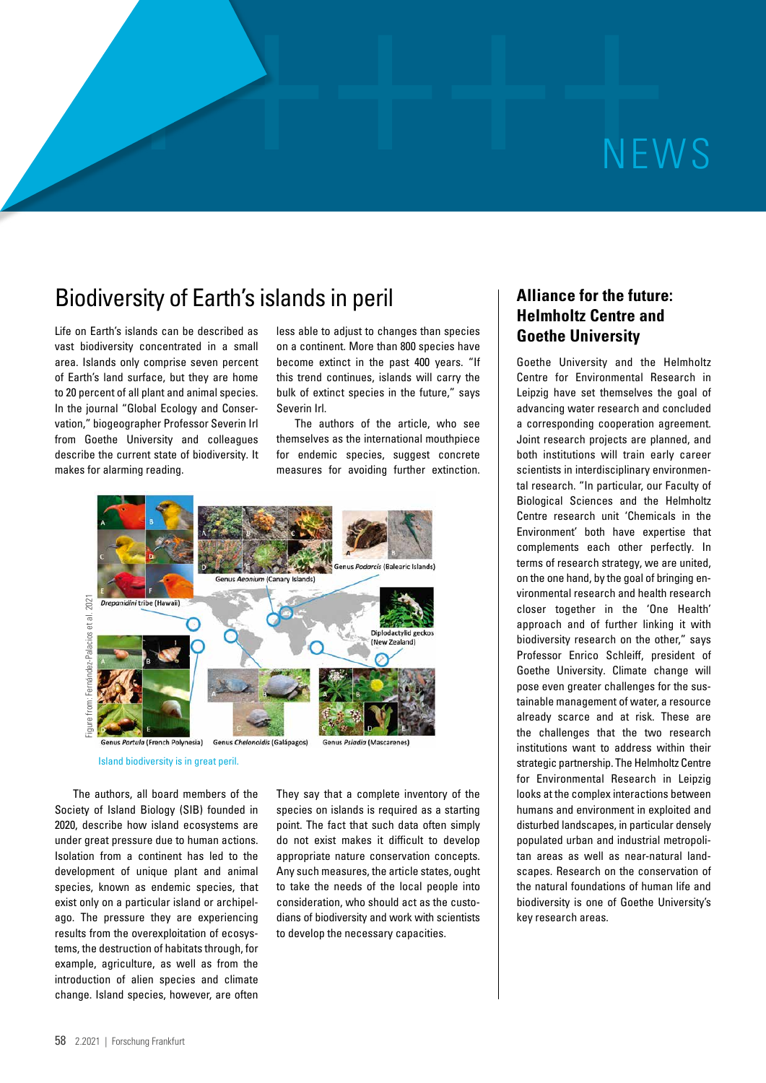# ++++++NEWS

# Biodiversity of Earth's islands in peril

Life on Earth's islands can be described as vast biodiversity concentrated in a small area. Islands only comprise seven percent of Earth's land surface, but they are home to 20 percent of all plant and animal species. In the journal "Global Ecology and Conservation," biogeographer Professor Severin Irl from Goethe University and colleagues describe the current state of biodiversity. It makes for alarming reading.

less able to adjust to changes than species on a continent. More than 800 species have become extinct in the past 400 years. "If this trend continues, islands will carry the bulk of extinct species in the future," says Severin Irl.

The authors of the article, who see themselves as the international mouthpiece for endemic species, suggest concrete measures for avoiding further extinction.



Island biodiversity is in great peril.

The authors, all board members of the Society of Island Biology (SIB) founded in 2020, describe how island ecosystems are under great pressure due to human actions. Isolation from a continent has led to the development of unique plant and animal species, known as endemic species, that exist only on a particular island or archipelago. The pressure they are experiencing results from the overexploitation of ecosystems, the destruction of habitats through, for example, agriculture, as well as from the introduction of alien species and climate change. Island species, however, are often

They say that a complete inventory of the species on islands is required as a starting point. The fact that such data often simply do not exist makes it difficult to develop appropriate nature conservation concepts. Any such measures, the article states, ought to take the needs of the local people into consideration, who should act as the custodians of biodiversity and work with scientists to develop the necessary capacities.

# **Alliance for the future: Helmholtz Centre and Goethe University**

Goethe University and the Helmholtz Centre for Environmental Research in Leipzig have set themselves the goal of advancing water research and concluded a corresponding cooperation agreement. Joint research projects are planned, and both institutions will train early career scientists in interdisciplinary environmental research. "In particular, our Faculty of Biological Sciences and the Helmholtz Centre research unit 'Chemicals in the Environment' both have expertise that complements each other perfectly. In terms of research strategy, we are united, on the one hand, by the goal of bringing environmental research and health research closer together in the 'One Health' approach and of further linking it with biodiversity research on the other," says Professor Enrico Schleiff, president of Goethe University. Climate change will pose even greater challenges for the sustainable management of water, a resource already scarce and at risk. These are the challenges that the two research institutions want to address within their strategic partnership. The Helmholtz Centre for Environmental Research in Leipzig looks at the complex interactions between humans and environment in exploited and disturbed landscapes, in particular densely populated urban and industrial metropolitan areas as well as near-natural landscapes. Research on the conservation of the natural foundations of human life and biodiversity is one of Goethe University's key research areas.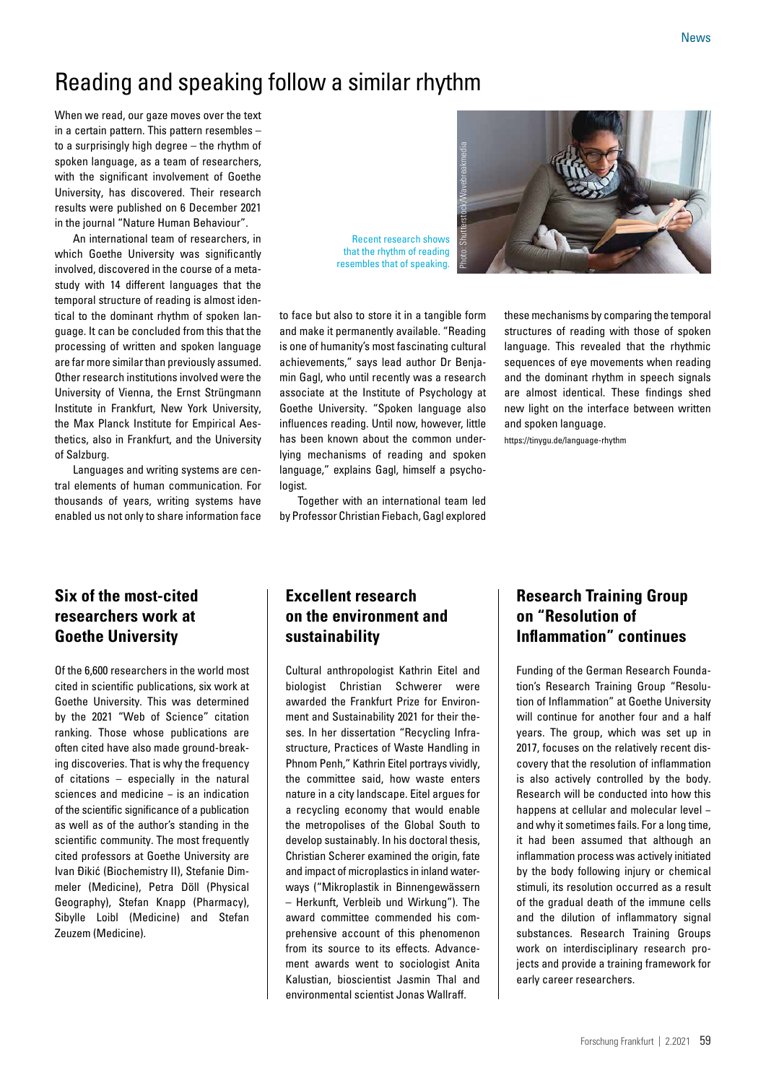# Reading and speaking follow a similar rhythm

When we read, our gaze moves over the text in a certain pattern. This pattern resembles – to a surprisingly high degree – the rhythm of spoken language, as a team of researchers, with the significant involvement of Goethe University, has discovered. Their research results were published on 6 December 2021 in the journal "Nature Human Behaviour".

An international team of researchers, in which Goethe University was significantly involved, discovered in the course of a metastudy with 14 different languages that the temporal structure of reading is almost identical to the dominant rhythm of spoken language. It can be concluded from this that the processing of written and spoken language are far more similar than previously assumed. Other research institutions involved were the University of Vienna, the Ernst Strüngmann Institute in Frankfurt, New York University, the Max Planck Institute for Empirical Aesthetics, also in Frankfurt, and the University of Salzburg.

Languages and writing systems are central elements of human communication. For thousands of years, writing systems have enabled us not only to share information face

# **Six of the most-cited researchers work at Goethe University**

Of the 6,600 researchers in the world most cited in scientific publications, six work at Goethe University. This was determined by the 2021 "Web of Science" citation ranking. Those whose publications are often cited have also made ground-breaking discoveries. That is why the frequency of citations – especially in the natural sciences and medicine – is an indication of the scientific significance of a publication as well as of the author's standing in the scientific community. The most frequently cited professors at Goethe University are Ivan Đikić (Biochemistry II), Stefanie Dimmeler (Medicine), Petra Döll (Physical Geography), Stefan Knapp (Pharmacy), Sibylle Loibl (Medicine) and Stefan Zeuzem (Medicine).

Recent research shows that the rhythm of reading resembles that of speaking.



to face but also to store it in a tangible form and make it permanently available. "Reading is one of humanity's most fascinating cultural achievements," says lead author Dr Benjamin Gagl, who until recently was a research associate at the Institute of Psychology at Goethe University. "Spoken language also influences reading. Until now, however, little has been known about the common underlying mechanisms of reading and spoken language," explains Gagl, himself a psychologist.

Together with an international team led by Professor Christian Fiebach, Gagl explored these mechanisms by comparing the temporal structures of reading with those of spoken language. This revealed that the rhythmic sequences of eye movements when reading and the dominant rhythm in speech signals are almost identical. These findings shed new light on the interface between written and spoken language.

<https://tinygu.de/language-rhythm>

# **Excellent research on the environment and sustainability**

Cultural anthropologist Kathrin Eitel and biologist Christian Schwerer were awarded the Frankfurt Prize for Environment and Sustainability 2021 for their theses. In her dissertation "Recycling Infrastructure, Practices of Waste Handling in Phnom Penh," Kathrin Eitel portrays vividly, the committee said, how waste enters nature in a city landscape. Eitel argues for a recycling economy that would enable the metropolises of the Global South to develop sustainably. In his doctoral thesis, Christian Scherer examined the origin, fate and impact of microplastics in inland waterways ("Mikroplastik in Binnengewässern

– Herkunft, Verbleib und Wirkung"). The award committee commended his comprehensive account of this phenomenon from its source to its effects. Advancement awards went to sociologist Anita Kalustian, bioscientist Jasmin Thal and environmental scientist Jonas Wallraff.

# **Research Training Group on "Resolution of Inflammation" continues**

Funding of the German Research Foundation's Research Training Group "Resolution of Inflammation" at Goethe University will continue for another four and a half years. The group, which was set up in 2017, focuses on the relatively recent discovery that the resolution of inflammation is also actively controlled by the body. Research will be conducted into how this happens at cellular and molecular level − and why it sometimes fails. For a long time, it had been assumed that although an inflammation process was actively initiated by the body following injury or chemical stimuli, its resolution occurred as a result of the gradual death of the immune cells and the dilution of inflammatory signal substances. Research Training Groups work on interdisciplinary research projects and provide a training framework for early career researchers.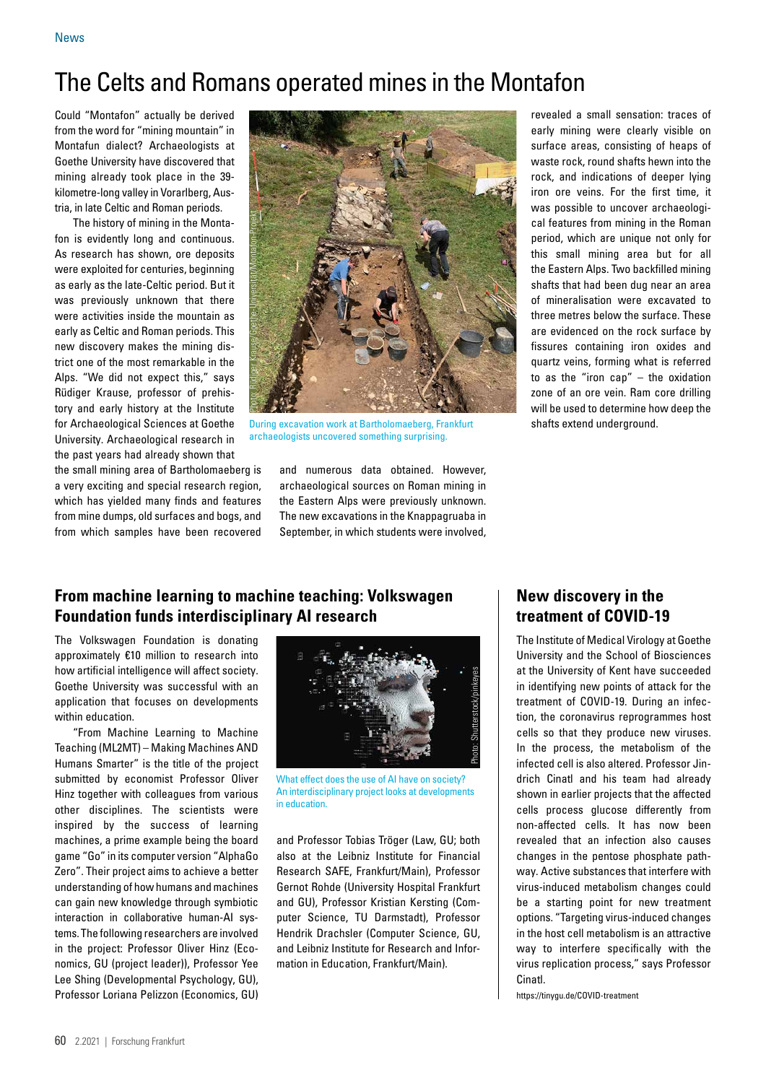# The Celts and Romans operated mines in the Montafon

Could "Montafon" actually be derived from the word for "mining mountain" in Montafun dialect? Archaeologists at Goethe University have discovered that mining already took place in the 39 kilometre-long valley in Vorarlberg, Austria, in late Celtic and Roman periods.

The history of mining in the Montafon is evidently long and continuous. As research has shown, ore deposits were exploited for centuries, beginning as early as the late-Celtic period. But it was previously unknown that there were activities inside the mountain as early as Celtic and Roman periods. This new discovery makes the mining district one of the most remarkable in the Alps. "We did not expect this," says Rüdiger Krause, professor of prehistory and early history at the Institute for Archaeological Sciences at Goethe University. Archaeological research in the past years had already shown that

the small mining area of Bartholomaeberg is a very exciting and special research region, which has yielded many finds and features from mine dumps, old surfaces and bogs, and from which samples have been recovered

archaeologists uncovered something surprising.<br>archaeologists uncovered something surprising.

During excavation work at Bartholomaeberg, Frankfurt shafts extend underground.

and numerous data obtained. However, archaeological sources on Roman mining in the Eastern Alps were previously unknown. The new excavations in the Knappagruaba in September, in which students were involved, revealed a small sensation: traces of early mining were clearly visible on surface areas, consisting of heaps of waste rock, round shafts hewn into the rock, and indications of deeper lying iron ore veins. For the first time, it was possible to uncover archaeological features from mining in the Roman period, which are unique not only for this small mining area but for all the Eastern Alps. Two backfilled mining shafts that had been dug near an area of mineralisation were excavated to three metres below the surface. These are evidenced on the rock surface by fissures containing iron oxides and quartz veins, forming what is referred to as the "iron cap" – the oxidation zone of an ore vein. Ram core drilling will be used to determine how deep the

# **From machine learning to machine teaching: Volkswagen Foundation funds interdisciplinary AI research**

The Volkswagen Foundation is donating approximately €10 million to research into how artificial intelligence will affect society. Goethe University was successful with an application that focuses on developments within education.

"From Machine Learning to Machine Teaching (ML2MT) – Making Machines AND Humans Smarter" is the title of the project submitted by economist Professor Oliver Hinz together with colleagues from various other disciplines. The scientists were inspired by the success of learning machines, a prime example being the board game "Go" in its computer version "AlphaGo Zero". Their project aims to achieve a better understanding of how humans and machines can gain new knowledge through symbiotic interaction in collaborative human-AI systems. The following researchers are involved in the project: Professor Oliver Hinz (Economics, GU (project leader)), Professor Yee Lee Shing (Developmental Psychology, GU), Professor Loriana Pelizzon (Economics, GU)

What effect does the use of AI have on society? An interdisciplinary project looks at developments in education.

and Professor Tobias Tröger (Law, GU; both also at the Leibniz Institute for Financial Research SAFE, Frankfurt/Main), Professor Gernot Rohde (University Hospital Frankfurt and GU), Professor Kristian Kersting (Computer Science, TU Darmstadt), Professor Hendrik Drachsler (Computer Science, GU, and Leibniz Institute for Research and Information in Education, Frankfurt/Main).

### **New discovery in the treatment of COVID-19**

The Institute of Medical Virology at Goethe University and the School of Biosciences at the University of Kent have succeeded in identifying new points of attack for the treatment of COVID-19. During an infection, the coronavirus reprogrammes host cells so that they produce new viruses. In the process, the metabolism of the infected cell is also altered. Professor Jindrich Cinatl and his team had already shown in earlier projects that the affected cells process glucose differently from non-affected cells. It has now been revealed that an infection also causes changes in the pentose phosphate pathway. Active substances that interfere with virus-induced metabolism changes could be a starting point for new treatment options. "Targeting virus-induced changes in the host cell metabolism is an attractive way to interfere specifically with the virus replication process," says Professor Cinatl.

<https://tinygu.de/COVID-treatment>

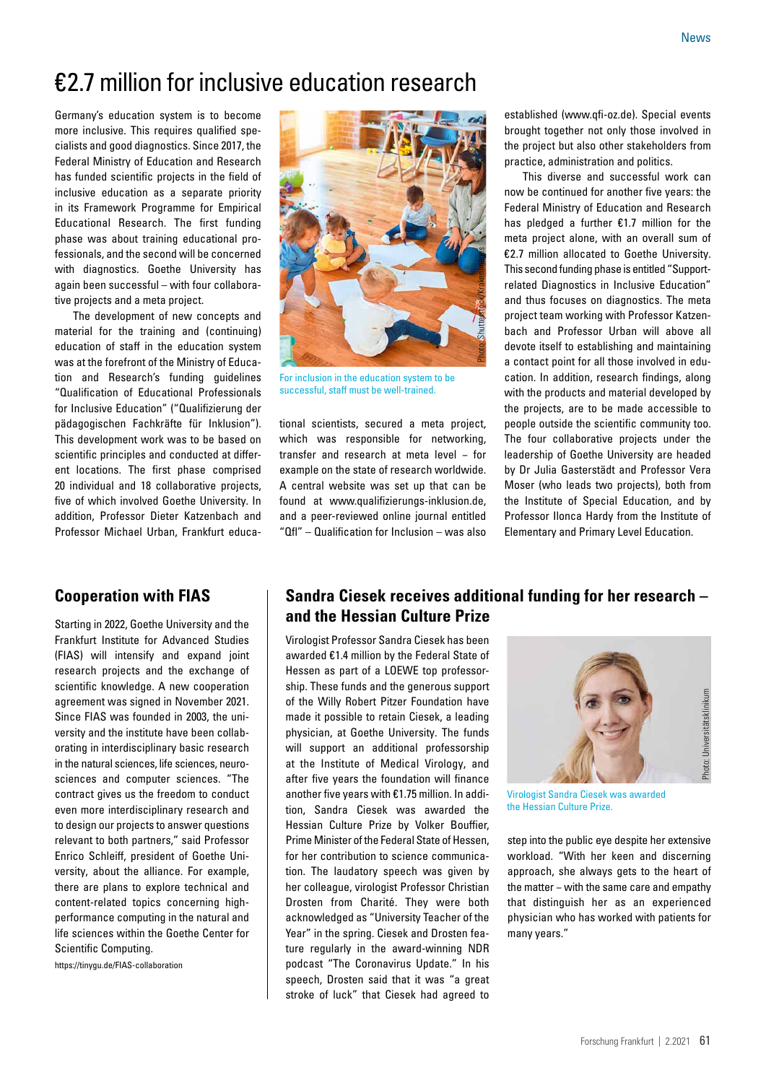# €2.7 million for inclusive education research

Germany's education system is to become more inclusive. This requires qualified specialists and good diagnostics. Since 2017, the Federal Ministry of Education and Research has funded scientific projects in the field of inclusive education as a separate priority in its Framework Programme for Empirical Educational Research. The first funding phase was about training educational professionals, and the second will be concerned with diagnostics. Goethe University has again been successful – with four collaborative projects and a meta project.

The development of new concepts and material for the training and (continuing) education of staff in the education system was at the forefront of the Ministry of Education and Research's funding guidelines "Qualification of Educational Professionals for Inclusive Education" ("Qualifizierung der pädagogischen Fachkräfte für Inklusion"). This development work was to be based on scientific principles and conducted at different locations. The first phase comprised 20 individual and 18 collaborative projects, five of which involved Goethe University. In addition, Professor Dieter Katzenbach and Professor Michael Urban, Frankfurt educa-

### **Cooperation with FIAS**

Starting in 2022, Goethe University and the Frankfurt Institute for Advanced Studies (FIAS) will intensify and expand joint research projects and the exchange of scientific knowledge. A new cooperation agreement was signed in November 2021. Since FIAS was founded in 2003, the university and the institute have been collaborating in interdisciplinary basic research in the natural sciences, life sciences, neurosciences and computer sciences. "The contract gives us the freedom to conduct even more interdisciplinary research and to design our projects to answer questions relevant to both partners," said Professor Enrico Schleiff, president of Goethe University, about the alliance. For example, there are plans to explore technical and content-related topics concerning highperformance computing in the natural and life sciences within the Goethe Center for Scientific Computing.

<https://tinygu.de/FIAS-collaboration>



For inclusion in the education system to be successful, staff must be well-trained.

tional scientists, secured a meta project, which was responsible for networking, transfer and research at meta level − for example on the state of research worldwide. A central website was set up that can be found at [www.qualifizierungs-inklusion.de,](http://www.qualifizierungs-inklusion.de) and a peer-reviewed online journal entitled "Qfl" – Qualification for Inclusion – was also established [\(www.qfi-oz.de](http://www.qfi-oz.de)). Special events brought together not only those involved in the project but also other stakeholders from practice, administration and politics.

This diverse and successful work can now be continued for another five years: the Federal Ministry of Education and Research has pledged a further €1.7 million for the meta project alone, with an overall sum of €2.7 million allocated to Goethe University. This second funding phase is entitled "Supportrelated Diagnostics in Inclusive Education" and thus focuses on diagnostics. The meta project team working with Professor Katzenbach and Professor Urban will above all devote itself to establishing and maintaining a contact point for all those involved in education. In addition, research findings, along with the products and material developed by the projects, are to be made accessible to people outside the scientific community too. The four collaborative projects under the leadership of Goethe University are headed by Dr Julia Gasterstädt and Professor Vera Moser (who leads two projects), both from the Institute of Special Education, and by Professor Ilonca Hardy from the Institute of Elementary and Primary Level Education.

### **Sandra Ciesek receives additional funding for her research – and the Hessian Culture Prize**

Virologist Professor Sandra Ciesek has been awarded €1.4 million by the Federal State of Hessen as part of a LOEWE top professorship. These funds and the generous support of the Willy Robert Pitzer Foundation have made it possible to retain Ciesek, a leading physician, at Goethe University. The funds will support an additional professorship at the Institute of Medical Virology, and after five years the foundation will finance another five years with €1.75 million. In addition, Sandra Ciesek was awarded the Hessian Culture Prize by Volker Bouffier, Prime Minister of the Federal State of Hessen, for her contribution to science communication. The laudatory speech was given by her colleague, virologist Professor Christian Drosten from Charité. They were both acknowledged as "University Teacher of the Year" in the spring. Ciesek and Drosten feature regularly in the award-winning NDR podcast "The Coronavirus Update." In his speech, Drosten said that it was "a great stroke of luck" that Ciesek had agreed to



Virologist Sandra Ciesek was awarded the Hessian Culture Prize.

step into the public eye despite her extensive workload. "With her keen and discerning approach, she always gets to the heart of the matter − with the same care and empathy that distinguish her as an experienced physician who has worked with patients for many years."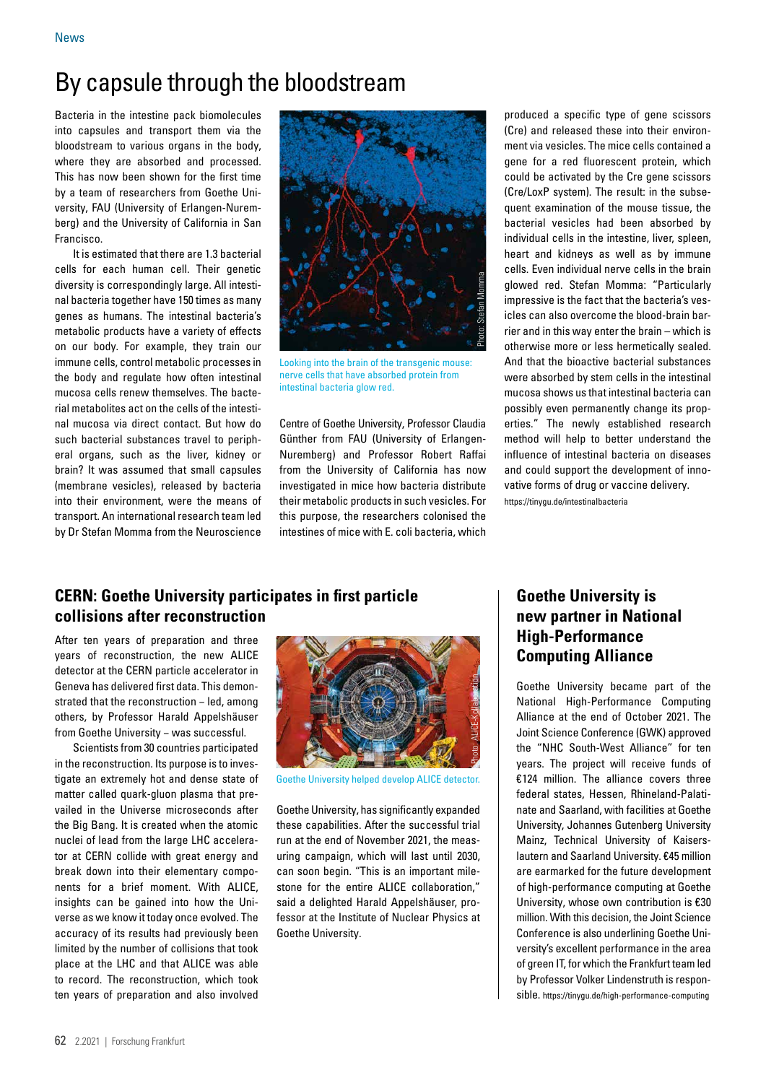# By capsule through the bloodstream

Bacteria in the intestine pack biomolecules into capsules and transport them via the bloodstream to various organs in the body, where they are absorbed and processed. This has now been shown for the first time by a team of researchers from Goethe University, FAU (University of Erlangen-Nuremberg) and the University of California in San Francisco.

It is estimated that there are 1.3 bacterial cells for each human cell. Their genetic diversity is correspondingly large. All intestinal bacteria together have 150 times as many genes as humans. The intestinal bacteria's metabolic products have a variety of effects on our body. For example, they train our immune cells, control metabolic processes in the body and regulate how often intestinal mucosa cells renew themselves. The bacterial metabolites act on the cells of the intestinal mucosa via direct contact. But how do such bacterial substances travel to peripheral organs, such as the liver, kidney or brain? It was assumed that small capsules (membrane vesicles), released by bacteria into their environment, were the means of transport. An international research team led by Dr Stefan Momma from the Neuroscience



Looking into the brain of the transgenic mouse: nerve cells that have absorbed protein from intestinal bacteria glow red.

Centre of Goethe University, Professor Claudia Günther from FAU (University of Erlangen-Nuremberg) and Professor Robert Raffai from the University of California has now investigated in mice how bacteria distribute their metabolic products in such vesicles. For this purpose, the researchers colonised the intestines of mice with E. coli bacteria, which

produced a specific type of gene scissors (Cre) and released these into their environment via vesicles. The mice cells contained a gene for a red fluorescent protein, which could be activated by the Cre gene scissors (Cre/LoxP system). The result: in the subsequent examination of the mouse tissue, the bacterial vesicles had been absorbed by individual cells in the intestine, liver, spleen, heart and kidneys as well as by immune cells. Even individual nerve cells in the brain glowed red. Stefan Momma: "Particularly impressive is the fact that the bacteria's vesicles can also overcome the blood-brain barrier and in this way enter the brain – which is otherwise more or less hermetically sealed. And that the bioactive bacterial substances were absorbed by stem cells in the intestinal mucosa shows us that intestinal bacteria can possibly even permanently change its properties." The newly established research method will help to better understand the influence of intestinal bacteria on diseases and could support the development of innovative forms of drug or vaccine delivery. <https://tinygu.de/intestinalbacteria>

# **CERN: Goethe University participates in first particle collisions after reconstruction**

After ten years of preparation and three years of reconstruction, the new ALICE detector at the CERN particle accelerator in Geneva has delivered first data. This demonstrated that the reconstruction - led, among others, by Professor Harald Appelshäuser from Goethe University − was successful.

Scientists from 30 countries participated in the reconstruction. Its purpose is to investigate an extremely hot and dense state of matter called quark-gluon plasma that prevailed in the Universe microseconds after the Big Bang. It is created when the atomic nuclei of lead from the large LHC accelerator at CERN collide with great energy and break down into their elementary components for a brief moment. With ALICE, insights can be gained into how the Universe as we know it today once evolved. The accuracy of its results had previously been limited by the number of collisions that took place at the LHC and that ALICE was able to record. The reconstruction, which took ten years of preparation and also involved



Goethe University helped develop ALICE detector.

Goethe University, has significantly expanded these capabilities. After the successful trial run at the end of November 2021, the measuring campaign, which will last until 2030, can soon begin. "This is an important milestone for the entire ALICE collaboration," said a delighted Harald Appelshäuser, professor at the Institute of Nuclear Physics at Goethe University.

# **Goethe University is new partner in National High-Performance Computing Alliance**

Goethe University became part of the National High-Performance Computing Alliance at the end of October 2021. The Joint Science Conference (GWK) approved the "NHC South-West Alliance" for ten years. The project will receive funds of €124 million. The alliance covers three federal states, Hessen, Rhineland-Palatinate and Saarland, with facilities at Goethe University, Johannes Gutenberg University Mainz, Technical University of Kaiserslautern and Saarland University. €45 million are earmarked for the future development of high-performance computing at Goethe University, whose own contribution is €30 million. With this decision, the Joint Science Conference is also underlining Goethe University's excellent performance in the area of green IT, for which the Frankfurt team led by Professor Volker Lindenstruth is responsible.<https://tinygu.de/high-performance-computing>